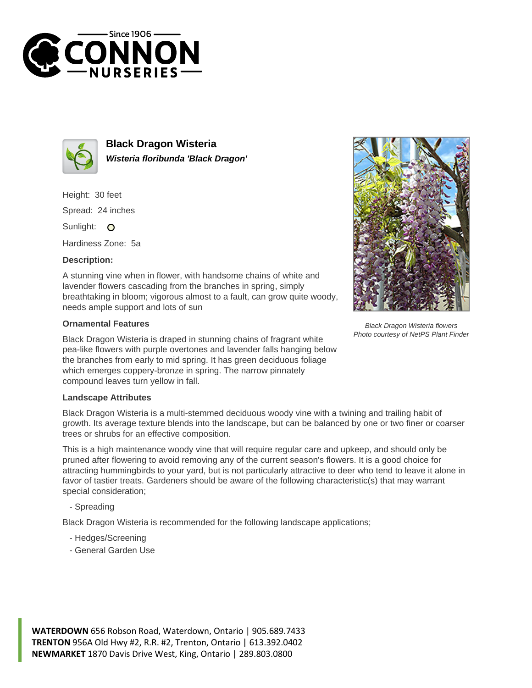



**Black Dragon Wisteria Wisteria floribunda 'Black Dragon'**

Height: 30 feet Spread: 24 inches Sunlight: O

Hardiness Zone: 5a

## **Description:**

A stunning vine when in flower, with handsome chains of white and lavender flowers cascading from the branches in spring, simply breathtaking in bloom; vigorous almost to a fault, can grow quite woody, needs ample support and lots of sun

## **Ornamental Features**

Black Dragon Wisteria is draped in stunning chains of fragrant white pea-like flowers with purple overtones and lavender falls hanging below the branches from early to mid spring. It has green deciduous foliage which emerges coppery-bronze in spring. The narrow pinnately compound leaves turn yellow in fall.

## **Landscape Attributes**

Black Dragon Wisteria is a multi-stemmed deciduous woody vine with a twining and trailing habit of growth. Its average texture blends into the landscape, but can be balanced by one or two finer or coarser trees or shrubs for an effective composition.

This is a high maintenance woody vine that will require regular care and upkeep, and should only be pruned after flowering to avoid removing any of the current season's flowers. It is a good choice for attracting hummingbirds to your yard, but is not particularly attractive to deer who tend to leave it alone in favor of tastier treats. Gardeners should be aware of the following characteristic(s) that may warrant special consideration;

- Spreading

Black Dragon Wisteria is recommended for the following landscape applications;

- Hedges/Screening
- General Garden Use



Black Dragon Wisteria flowers Photo courtesy of NetPS Plant Finder

**WATERDOWN** 656 Robson Road, Waterdown, Ontario | 905.689.7433 **TRENTON** 956A Old Hwy #2, R.R. #2, Trenton, Ontario | 613.392.0402 **NEWMARKET** 1870 Davis Drive West, King, Ontario | 289.803.0800